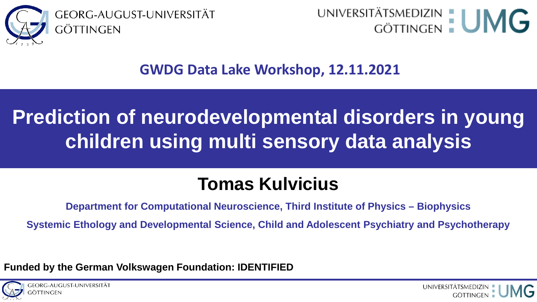

UNIVERSITÄTSMEDIZIN | UNIC

#### **GWDG Data Lake Workshop, 12.11.2021**

### **Prediction of neurodevelopmental disorders in young children using multi sensory data analysis**

### **Tomas Kulvicius**

**Department for Computational Neuroscience, Third Institute of Physics – Biophysics**

**Systemic Ethology and Developmental Science, Child and Adolescent Psychiatry and Psychotherapy**

**Funded by the German Volkswagen Foundation: IDENTIFIED**

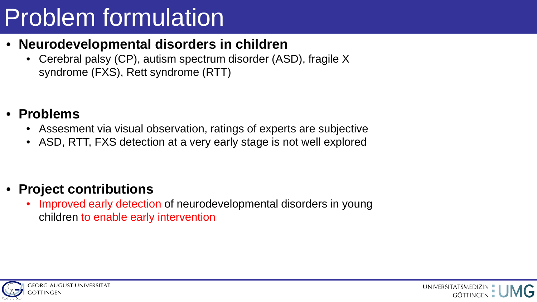# Problem formulation

- **Neurodevelopmental disorders in children**
	- Cerebral palsy (CP), autism spectrum disorder (ASD), fragile X syndrome (FXS), Rett syndrome (RTT)
- **Problems**
	- Assesment via visual observation, ratings of experts are subjective
	- ASD, RTT, FXS detection at a very early stage is not well explored

#### • **Project contributions**

Improved early detection of neurodevelopmental disorders in young children to enable early intervention

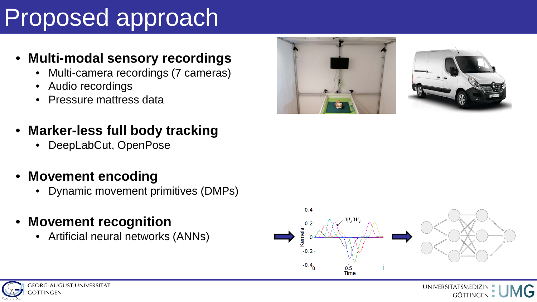# Proposed approach

#### • **Multi-modal sensory recordings**

- Multi-camera recordings (7 cameras)
- Audio recordings
- Pressure mattress data
- **Marker-less full body tracking**
	- DeepLabCut, OpenPose
- **Movement encoding**
	- Dynamic movement primitives (DMPs)
- **Movement recognition**
	- Artificial neural networks (ANNs)









UNIVERSITÄTSMEDIZIN **GÖTTINGEN**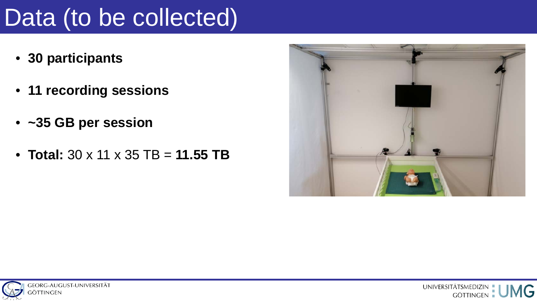### Data (to be collected)

- **30 participants**
- **11 recording sessions**
- **~35 GB per session**
- **Total:** 30 x 11 x 35 TB = **11.55 TB**





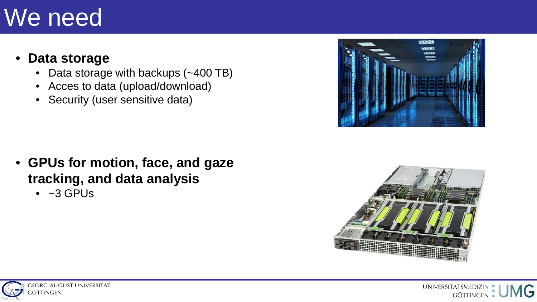### We need

#### • **Data storage**

- Data storage with backups (~400 TB)
- Acces to data (upload/download)
- Security (user sensitive data)

- **GPUs for motion, face, and gaze tracking, and data analysis**
	- $\bullet$  ~3 GPUs